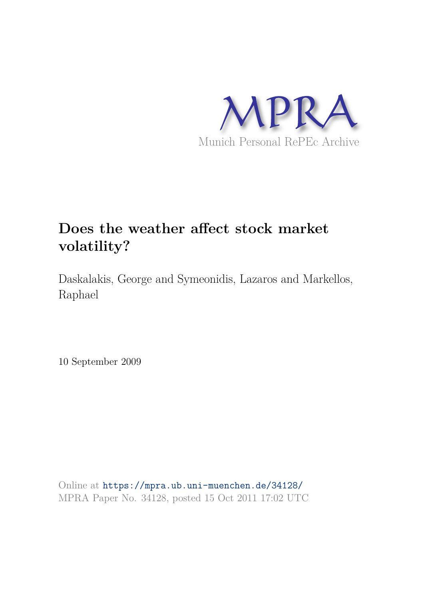

# **Does the weather affect stock market volatility?**

Daskalakis, George and Symeonidis, Lazaros and Markellos, Raphael

10 September 2009

Online at https://mpra.ub.uni-muenchen.de/34128/ MPRA Paper No. 34128, posted 15 Oct 2011 17:02 UTC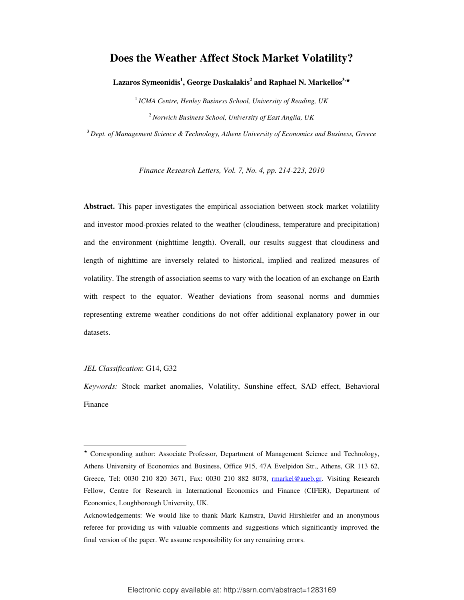# **Does the Weather Affect Stock Market Volatility?**

**Lazaros Symeonidis<sup>1</sup> , George Daskalakis<sup>2</sup> and Raphael N. Markellos<sup>3</sup>**,

<sup>1</sup>*ICMA Centre, Henley Business School, University of Reading, UK*  <sup>2</sup>*Norwich Business School, University of East Anglia, UK* 

<sup>3</sup>*Dept. of Management Science & Technology, Athens University of Economics and Business, Greece* 

*Finance Research Letters, Vol. 7, No. 4, pp. 214-223, 2010* 

**Abstract.** This paper investigates the empirical association between stock market volatility and investor mood-proxies related to the weather (cloudiness, temperature and precipitation) and the environment (nighttime length). Overall, our results suggest that cloudiness and length of nighttime are inversely related to historical, implied and realized measures of volatility. The strength of association seems to vary with the location of an exchange on Earth with respect to the equator. Weather deviations from seasonal norms and dummies representing extreme weather conditions do not offer additional explanatory power in our datasets.

### *JEL Classification*: G14, G32

-

*Keywords:* Stock market anomalies, Volatility, Sunshine effect, SAD effect, Behavioral Finance

<sup>\*</sup> Corresponding author: Associate Professor, Department of Management Science and Technology, Athens University of Economics and Business, Office 915, 47A Evelpidon Str., Athens, GR 113 62, Greece, Tel: 0030 210 820 3671, Fax: 0030 210 882 8078, markel@aueb.gr. Visiting Research Fellow, Centre for Research in International Economics and Finance (CIFER), Department of Economics, Loughborough University, UK.

Acknowledgements: We would like to thank Mark Kamstra, David Hirshleifer and an anonymous referee for providing us with valuable comments and suggestions which significantly improved the final version of the paper. We assume responsibility for any remaining errors.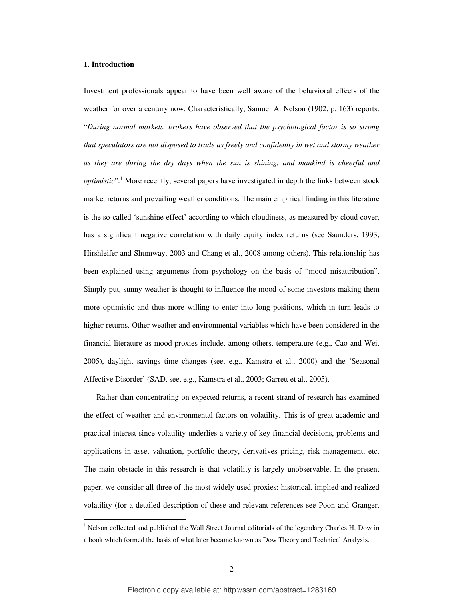# **1. Introduction**

-

Investment professionals appear to have been well aware of the behavioral effects of the weather for over a century now. Characteristically, Samuel A. Nelson (1902, p. 163) reports: "*During normal markets, brokers have observed that the psychological factor is so strong that speculators are not disposed to trade as freely and confidently in wet and stormy weather as they are during the dry days when the sun is shining, and mankind is cheerful and*  optimistic".<sup>1</sup> More recently, several papers have investigated in depth the links between stock market returns and prevailing weather conditions. The main empirical finding in this literature is the so-called 'sunshine effect' according to which cloudiness, as measured by cloud cover, has a significant negative correlation with daily equity index returns (see Saunders, 1993; Hirshleifer and Shumway, 2003 and Chang et al., 2008 among others). This relationship has been explained using arguments from psychology on the basis of "mood misattribution". Simply put, sunny weather is thought to influence the mood of some investors making them more optimistic and thus more willing to enter into long positions, which in turn leads to higher returns. Other weather and environmental variables which have been considered in the financial literature as mood-proxies include, among others, temperature (e.g., Cao and Wei, 2005), daylight savings time changes (see, e.g., Kamstra et al., 2000) and the 'Seasonal Affective Disorder' (SAD, see, e.g., Kamstra et al., 2003; Garrett et al., 2005).

Rather than concentrating on expected returns, a recent strand of research has examined the effect of weather and environmental factors on volatility. This is of great academic and practical interest since volatility underlies a variety of key financial decisions, problems and applications in asset valuation, portfolio theory, derivatives pricing, risk management, etc. The main obstacle in this research is that volatility is largely unobservable. In the present paper, we consider all three of the most widely used proxies: historical, implied and realized volatility (for a detailed description of these and relevant references see Poon and Granger,

 $<sup>1</sup>$  Nelson collected and published the Wall Street Journal editorials of the legendary Charles H. Dow in</sup> a book which formed the basis of what later became known as Dow Theory and Technical Analysis.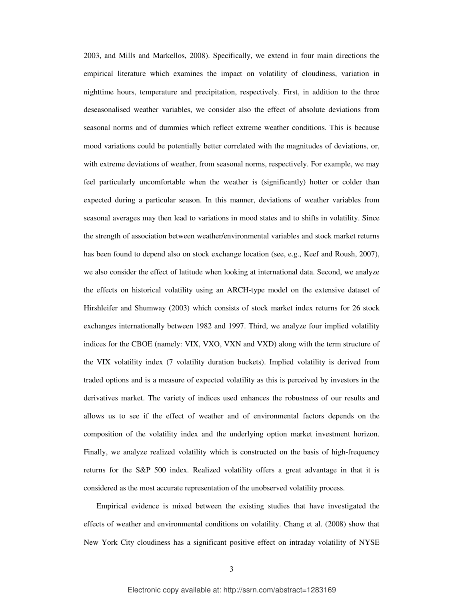2003, and Mills and Markellos, 2008). Specifically, we extend in four main directions the empirical literature which examines the impact on volatility of cloudiness, variation in nighttime hours, temperature and precipitation, respectively. First, in addition to the three deseasonalised weather variables, we consider also the effect of absolute deviations from seasonal norms and of dummies which reflect extreme weather conditions. This is because mood variations could be potentially better correlated with the magnitudes of deviations, or, with extreme deviations of weather, from seasonal norms, respectively. For example, we may feel particularly uncomfortable when the weather is (significantly) hotter or colder than expected during a particular season. In this manner, deviations of weather variables from seasonal averages may then lead to variations in mood states and to shifts in volatility. Since the strength of association between weather/environmental variables and stock market returns has been found to depend also on stock exchange location (see, e.g., Keef and Roush, 2007), we also consider the effect of latitude when looking at international data. Second, we analyze the effects on historical volatility using an ARCH-type model on the extensive dataset of Hirshleifer and Shumway (2003) which consists of stock market index returns for 26 stock exchanges internationally between 1982 and 1997. Third, we analyze four implied volatility indices for the CBOE (namely: VIX, VXO, VXN and VXD) along with the term structure of the VIX volatility index (7 volatility duration buckets). Implied volatility is derived from traded options and is a measure of expected volatility as this is perceived by investors in the derivatives market. The variety of indices used enhances the robustness of our results and allows us to see if the effect of weather and of environmental factors depends on the composition of the volatility index and the underlying option market investment horizon. Finally, we analyze realized volatility which is constructed on the basis of high-frequency returns for the S&P 500 index. Realized volatility offers a great advantage in that it is considered as the most accurate representation of the unobserved volatility process.

Empirical evidence is mixed between the existing studies that have investigated the effects of weather and environmental conditions on volatility. Chang et al. (2008) show that New York City cloudiness has a significant positive effect on intraday volatility of NYSE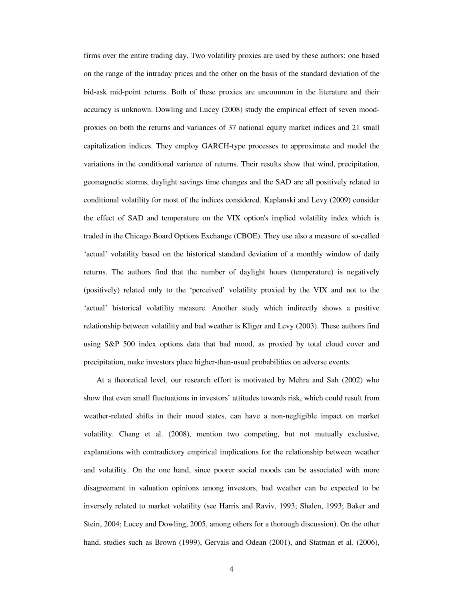firms over the entire trading day. Two volatility proxies are used by these authors: one based on the range of the intraday prices and the other on the basis of the standard deviation of the bid-ask mid-point returns. Both of these proxies are uncommon in the literature and their accuracy is unknown. Dowling and Lucey (2008) study the empirical effect of seven moodproxies on both the returns and variances of 37 national equity market indices and 21 small capitalization indices. They employ GARCH-type processes to approximate and model the variations in the conditional variance of returns. Their results show that wind, precipitation, geomagnetic storms, daylight savings time changes and the SAD are all positively related to conditional volatility for most of the indices considered. Kaplanski and Levy (2009) consider the effect of SAD and temperature on the VIX option's implied volatility index which is traded in the Chicago Board Options Exchange (CBOE). They use also a measure of so-called 'actual' volatility based on the historical standard deviation of a monthly window of daily returns. The authors find that the number of daylight hours (temperature) is negatively (positively) related only to the 'perceived' volatility proxied by the VIX and not to the 'actual' historical volatility measure. Another study which indirectly shows a positive relationship between volatility and bad weather is Kliger and Levy (2003). These authors find using S&P 500 index options data that bad mood, as proxied by total cloud cover and precipitation, make investors place higher-than-usual probabilities on adverse events.

At a theoretical level, our research effort is motivated by Mehra and Sah (2002) who show that even small fluctuations in investors' attitudes towards risk, which could result from weather-related shifts in their mood states, can have a non-negligible impact on market volatility. Chang et al. (2008), mention two competing, but not mutually exclusive, explanations with contradictory empirical implications for the relationship between weather and volatility. On the one hand, since poorer social moods can be associated with more disagreement in valuation opinions among investors, bad weather can be expected to be inversely related to market volatility (see Harris and Raviv, 1993; Shalen, 1993; Baker and Stein, 2004; Lucey and Dowling, 2005, among others for a thorough discussion). On the other hand, studies such as Brown (1999), Gervais and Odean (2001), and Statman et al. (2006),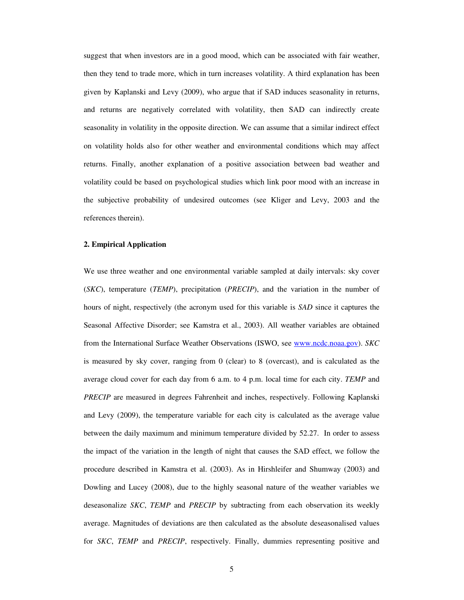suggest that when investors are in a good mood, which can be associated with fair weather, then they tend to trade more, which in turn increases volatility. A third explanation has been given by Kaplanski and Levy (2009), who argue that if SAD induces seasonality in returns, and returns are negatively correlated with volatility, then SAD can indirectly create seasonality in volatility in the opposite direction. We can assume that a similar indirect effect on volatility holds also for other weather and environmental conditions which may affect returns. Finally, another explanation of a positive association between bad weather and volatility could be based on psychological studies which link poor mood with an increase in the subjective probability of undesired outcomes (see Kliger and Levy, 2003 and the references therein).

# **2. Empirical Application**

We use three weather and one environmental variable sampled at daily intervals: sky cover (*SKC*), temperature (*TEMP*), precipitation (*PRECIP*), and the variation in the number of hours of night, respectively (the acronym used for this variable is *SAD* since it captures the Seasonal Affective Disorder; see Kamstra et al., 2003). All weather variables are obtained from the International Surface Weather Observations (ISWO, see www.ncdc.noaa.gov). *SKC* is measured by sky cover, ranging from 0 (clear) to 8 (overcast), and is calculated as the average cloud cover for each day from 6 a.m. to 4 p.m. local time for each city. *TEMP* and *PRECIP* are measured in degrees Fahrenheit and inches, respectively. Following Kaplanski and Levy (2009), the temperature variable for each city is calculated as the average value between the daily maximum and minimum temperature divided by 52.27. In order to assess the impact of the variation in the length of night that causes the SAD effect, we follow the procedure described in Kamstra et al. (2003). As in Hirshleifer and Shumway (2003) and Dowling and Lucey (2008), due to the highly seasonal nature of the weather variables we deseasonalize *SKC*, *TEMP* and *PRECIP* by subtracting from each observation its weekly average. Magnitudes of deviations are then calculated as the absolute deseasonalised values for *SKC*, *TEMP* and *PRECIP*, respectively. Finally, dummies representing positive and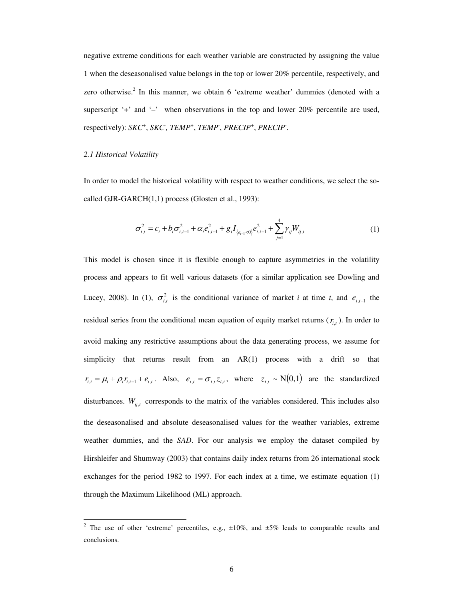negative extreme conditions for each weather variable are constructed by assigning the value 1 when the deseasonalised value belongs in the top or lower 20% percentile, respectively, and zero otherwise.<sup>2</sup> In this manner, we obtain 6 'extreme weather' dummies (denoted with a superscript '+' and ' $-$ ' when observations in the top and lower 20% percentile are used, respectively): *SKC<sup>+</sup>*, *SKC*, *TEMP<sup>+</sup>*, *TEMP*<sup>-</sup>, *PRECIP<sup>+</sup>*, *PRECIP*<sup>-</sup>.

# *2.1 Historical Volatility*

In order to model the historical volatility with respect to weather conditions, we select the socalled GJR-GARCH(1,1) process (Glosten et al., 1993):

$$
\sigma_{i,t}^2 = c_i + b_i \sigma_{i,t-1}^2 + \alpha_i e_{i,t-1}^2 + g_i I_{\{e_{i-1} < 0\}} e_{i,t-1}^2 + \sum_{j=1}^4 \gamma_{ij} W_{ij,t} \tag{1}
$$

This model is chosen since it is flexible enough to capture asymmetries in the volatility process and appears to fit well various datasets (for a similar application see Dowling and Lucey, 2008). In (1),  $\sigma_{i,t}^2$  is the conditional variance of market *i* at time *t*, and  $e_{i,t-1}$  the residual series from the conditional mean equation of equity market returns  $(r_{i,t})$ . In order to avoid making any restrictive assumptions about the data generating process, we assume for simplicity that returns result from an AR(1) process with a drift so that  $r_{i,t} = \mu_i + \rho_i r_{i,t-1} + e_{i,t}$ . Also,  $e_{i,t} = \sigma_{i,t} z_{i,t}$ , where  $z_{i,t} \sim N(0,1)$  are the standardized disturbances.  $W_{ij,t}$  corresponds to the matrix of the variables considered. This includes also the deseasonalised and absolute deseasonalised values for the weather variables, extreme weather dummies, and the *SAD*. For our analysis we employ the dataset compiled by Hirshleifer and Shumway (2003) that contains daily index returns from 26 international stock exchanges for the period 1982 to 1997. For each index at a time, we estimate equation (1) through the Maximum Likelihood (ML) approach.

 $\frac{1}{2}$ The use of other 'extreme' percentiles, e.g.,  $\pm 10\%$ , and  $\pm 5\%$  leads to comparable results and conclusions.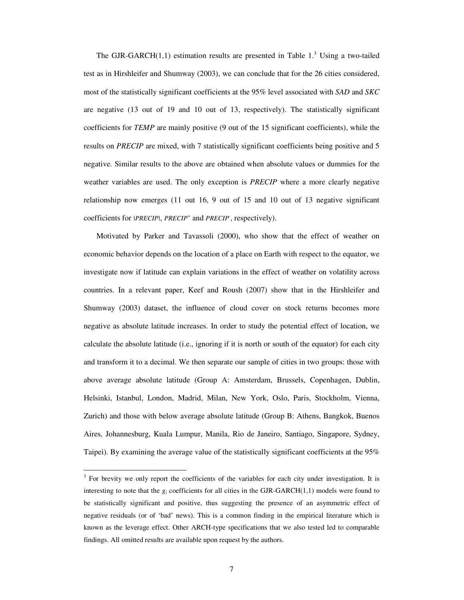The GJR-GARCH $(1,1)$  estimation results are presented in Table  $1.^3$  Using a two-tailed test as in Hirshleifer and Shumway (2003), we can conclude that for the 26 cities considered, most of the statistically significant coefficients at the 95% level associated with *SAD* and *SKC* are negative (13 out of 19 and 10 out of 13, respectively). The statistically significant coefficients for *TEMP* are mainly positive (9 out of the 15 significant coefficients), while the results on *PRECIP* are mixed, with 7 statistically significant coefficients being positive and 5 negative. Similar results to the above are obtained when absolute values or dummies for the weather variables are used. The only exception is *PRECIP* where a more clearly negative relationship now emerges (11 out 16, 9 out of 15 and 10 out of 13 negative significant coefficients for *|PRECIP|*, *PRECIP<sup>+</sup>* and *PRECIP-* , respectively).

Motivated by Parker and Tavassoli (2000), who show that the effect of weather on economic behavior depends on the location of a place on Earth with respect to the equator, we investigate now if latitude can explain variations in the effect of weather on volatility across countries. In a relevant paper, Keef and Roush (2007) show that in the Hirshleifer and Shumway (2003) dataset, the influence of cloud cover on stock returns becomes more negative as absolute latitude increases. In order to study the potential effect of location, we calculate the absolute latitude (i.e., ignoring if it is north or south of the equator) for each city and transform it to a decimal. We then separate our sample of cities in two groups: those with above average absolute latitude (Group A: Amsterdam, Brussels, Copenhagen, Dublin, Helsinki, Istanbul, London, Madrid, Milan, New York, Oslo, Paris, Stockholm, Vienna, Zurich) and those with below average absolute latitude (Group B: Athens, Bangkok, Buenos Aires, Johannesburg, Kuala Lumpur, Manila, Rio de Janeiro, Santiago, Singapore, Sydney, Taipei). By examining the average value of the statistically significant coefficients at the 95%

-

<sup>&</sup>lt;sup>3</sup> For brevity we only report the coefficients of the variables for each city under investigation. It is interesting to note that the  $g_i$  coefficients for all cities in the GJR-GARCH $(1,1)$  models were found to be statistically significant and positive, thus suggesting the presence of an asymmetric effect of negative residuals (or of 'bad' news). This is a common finding in the empirical literature which is known as the leverage effect. Other ARCH-type specifications that we also tested led to comparable findings. All omitted results are available upon request by the authors.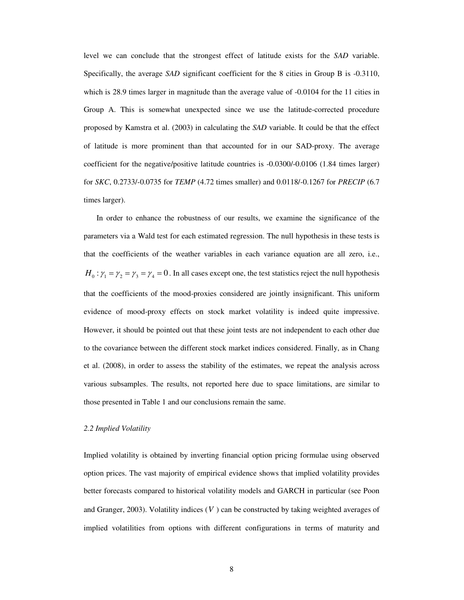level we can conclude that the strongest effect of latitude exists for the *SAD* variable. Specifically, the average *SAD* significant coefficient for the 8 cities in Group B is -0.3110, which is 28.9 times larger in magnitude than the average value of  $-0.0104$  for the 11 cities in Group A. This is somewhat unexpected since we use the latitude-corrected procedure proposed by Kamstra et al. (2003) in calculating the *SAD* variable. It could be that the effect of latitude is more prominent than that accounted for in our SAD-proxy. The average coefficient for the negative/positive latitude countries is -0.0300/-0.0106 (1.84 times larger) for *SKC*, 0.2733/-0.0735 for *TEMP* (4.72 times smaller) and 0.0118/-0.1267 for *PRECIP* (6.7 times larger).

In order to enhance the robustness of our results, we examine the significance of the parameters via a Wald test for each estimated regression. The null hypothesis in these tests is that the coefficients of the weather variables in each variance equation are all zero, i.e.,  $H_0: \gamma_1 = \gamma_2 = \gamma_3 = \gamma_4 = 0$ . In all cases except one, the test statistics reject the null hypothesis that the coefficients of the mood-proxies considered are jointly insignificant. This uniform evidence of mood-proxy effects on stock market volatility is indeed quite impressive. However, it should be pointed out that these joint tests are not independent to each other due to the covariance between the different stock market indices considered. Finally, as in Chang et al. (2008), in order to assess the stability of the estimates, we repeat the analysis across various subsamples. The results, not reported here due to space limitations, are similar to those presented in Table 1 and our conclusions remain the same.

# *2.2 Implied Volatility*

Implied volatility is obtained by inverting financial option pricing formulae using observed option prices. The vast majority of empirical evidence shows that implied volatility provides better forecasts compared to historical volatility models and GARCH in particular (see Poon and Granger, 2003). Volatility indices (*V* ) can be constructed by taking weighted averages of implied volatilities from options with different configurations in terms of maturity and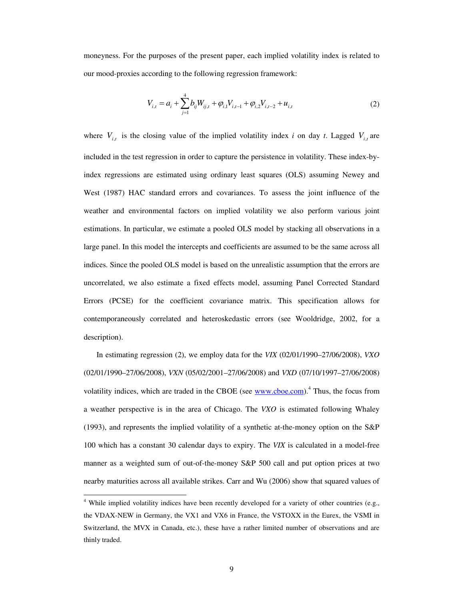moneyness. For the purposes of the present paper, each implied volatility index is related to our mood-proxies according to the following regression framework:

$$
V_{i,t} = a_i + \sum_{j=1}^{4} b_{ij} W_{ij,t} + \varphi_{i,1} V_{i,t-1} + \varphi_{i,2} V_{i,t-2} + u_{i,t}
$$
 (2)

where  $V_{i,t}$  is the closing value of the implied volatility index *i* on day *t*. Lagged  $V_{i,t}$  are included in the test regression in order to capture the persistence in volatility. These index-byindex regressions are estimated using ordinary least squares (OLS) assuming Newey and West (1987) HAC standard errors and covariances. To assess the joint influence of the weather and environmental factors on implied volatility we also perform various joint estimations. In particular, we estimate a pooled OLS model by stacking all observations in a large panel. In this model the intercepts and coefficients are assumed to be the same across all indices. Since the pooled OLS model is based on the unrealistic assumption that the errors are uncorrelated, we also estimate a fixed effects model, assuming Panel Corrected Standard Errors (PCSE) for the coefficient covariance matrix. This specification allows for contemporaneously correlated and heteroskedastic errors (see Wooldridge, 2002, for a description).

In estimating regression (2), we employ data for the *VIX* (02/01/1990–27/06/2008), *VXO* (02/01/1990–27/06/2008), *VXN* (05/02/2001–27/06/2008) and *VXD* (07/10/1997–27/06/2008) volatility indices, which are traded in the CBOE (see **www.cboe.com**).<sup>4</sup> Thus, the focus from a weather perspective is in the area of Chicago. The *VXO* is estimated following Whaley (1993), and represents the implied volatility of a synthetic at-the-money option on the S&P 100 which has a constant 30 calendar days to expiry. The *VIX* is calculated in a model-free manner as a weighted sum of out-of-the-money S&P 500 call and put option prices at two nearby maturities across all available strikes. Carr and Wu (2006) show that squared values of

-

<sup>&</sup>lt;sup>4</sup> While implied volatility indices have been recently developed for a variety of other countries (e.g., the VDAX-NEW in Germany, the VX1 and VX6 in France, the VSTOXX in the Eurex, the VSMI in Switzerland, the MVX in Canada, etc.), these have a rather limited number of observations and are thinly traded.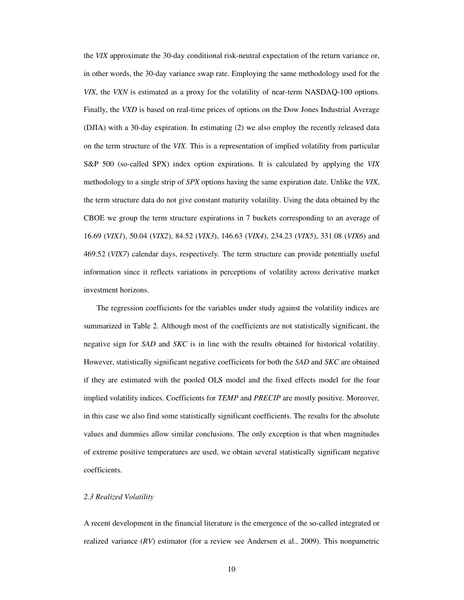the *VIX* approximate the 30-day conditional risk-neutral expectation of the return variance or, in other words, the 30-day variance swap rate. Employing the same methodology used for the *VIX*, the *VXN* is estimated as a proxy for the volatility of near-term NASDAQ-100 options. Finally, the *VXD* is based on real-time prices of options on the Dow Jones Industrial Average (DJIA) with a 30-day expiration. In estimating (2) we also employ the recently released data on the term structure of the *VIX*. This is a representation of implied volatility from particular S&P 500 (so-called SPX) index option expirations. It is calculated by applying the *VIX* methodology to a single strip of *SPX* options having the same expiration date. Unlike the *VIX*, the term structure data do not give constant maturity volatility. Using the data obtained by the CBOE we group the term structure expirations in 7 buckets corresponding to an average of 16.69 (*VIX1*), 50.04 (*VIX2*), 84.52 (*VIX3*), 146.63 (*VIX4*), 234.23 (*VIX5*), 331.08 (*VIX6*) and 469.52 (*VIX7*) calendar days, respectively. The term structure can provide potentially useful information since it reflects variations in perceptions of volatility across derivative market investment horizons.

The regression coefficients for the variables under study against the volatility indices are summarized in Table 2. Although most of the coefficients are not statistically significant, the negative sign for *SAD* and *SKC* is in line with the results obtained for historical volatility. However, statistically significant negative coefficients for both the *SAD* and *SKC* are obtained if they are estimated with the pooled OLS model and the fixed effects model for the four implied volatility indices. Coefficients for *TEMP* and *PRECIP* are mostly positive. Moreover, in this case we also find some statistically significant coefficients. The results for the absolute values and dummies allow similar conclusions. The only exception is that when magnitudes of extreme positive temperatures are used, we obtain several statistically significant negative coefficients.

# *2.3 Realized Volatility*

A recent development in the financial literature is the emergence of the so-called integrated or realized variance (*RV*) estimator (for a review see Andersen et al., 2009). This nonpametric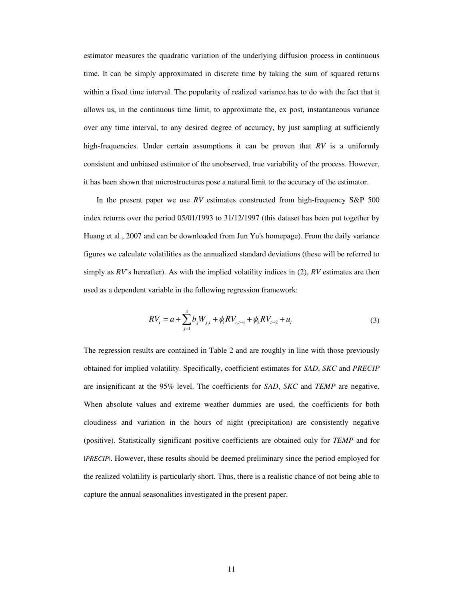estimator measures the quadratic variation of the underlying diffusion process in continuous time. It can be simply approximated in discrete time by taking the sum of squared returns within a fixed time interval. The popularity of realized variance has to do with the fact that it allows us, in the continuous time limit, to approximate the, ex post, instantaneous variance over any time interval, to any desired degree of accuracy, by just sampling at sufficiently high-frequencies. Under certain assumptions it can be proven that *RV* is a uniformly consistent and unbiased estimator of the unobserved, true variability of the process. However, it has been shown that microstructures pose a natural limit to the accuracy of the estimator.

In the present paper we use *RV* estimates constructed from high-frequency S&P 500 index returns over the period 05/01/1993 to 31/12/1997 (this dataset has been put together by Huang et al., 2007 and can be downloaded from Jun Yu's homepage). From the daily variance figures we calculate volatilities as the annualized standard deviations (these will be referred to simply as *RV*'s hereafter). As with the implied volatility indices in (2), *RV* estimates are then used as a dependent variable in the following regression framework:

$$
RV_{t} = a + \sum_{j=1}^{4} b_{j} W_{j,t} + \phi_{1} RV_{i,t-1} + \phi_{2} RV_{t-2} + u_{t}
$$
\n(3)

The regression results are contained in Table 2 and are roughly in line with those previously obtained for implied volatility. Specifically, coefficient estimates for *SAD*, *SKC* and *PRECIP*  are insignificant at the 95% level. The coefficients for *SAD*, *SKC* and *TEMP* are negative. When absolute values and extreme weather dummies are used, the coefficients for both cloudiness and variation in the hours of night (precipitation) are consistently negative (positive). Statistically significant positive coefficients are obtained only for *TEMP* and for *|PRECIP|*. However, these results should be deemed preliminary since the period employed for the realized volatility is particularly short. Thus, there is a realistic chance of not being able to capture the annual seasonalities investigated in the present paper.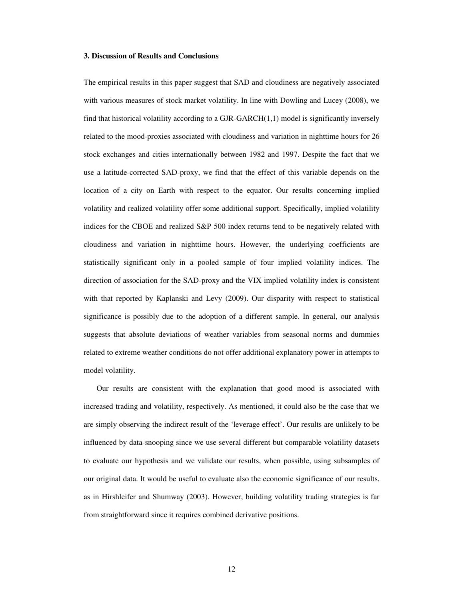#### **3. Discussion of Results and Conclusions**

The empirical results in this paper suggest that SAD and cloudiness are negatively associated with various measures of stock market volatility. In line with Dowling and Lucey (2008), we find that historical volatility according to a  $GIR-GARCH(1,1)$  model is significantly inversely related to the mood-proxies associated with cloudiness and variation in nighttime hours for 26 stock exchanges and cities internationally between 1982 and 1997. Despite the fact that we use a latitude-corrected SAD-proxy, we find that the effect of this variable depends on the location of a city on Earth with respect to the equator. Our results concerning implied volatility and realized volatility offer some additional support. Specifically, implied volatility indices for the CBOE and realized S&P 500 index returns tend to be negatively related with cloudiness and variation in nighttime hours. However, the underlying coefficients are statistically significant only in a pooled sample of four implied volatility indices. The direction of association for the SAD-proxy and the VIX implied volatility index is consistent with that reported by Kaplanski and Levy (2009). Our disparity with respect to statistical significance is possibly due to the adoption of a different sample. In general, our analysis suggests that absolute deviations of weather variables from seasonal norms and dummies related to extreme weather conditions do not offer additional explanatory power in attempts to model volatility.

Our results are consistent with the explanation that good mood is associated with increased trading and volatility, respectively. As mentioned, it could also be the case that we are simply observing the indirect result of the 'leverage effect'. Our results are unlikely to be influenced by data-snooping since we use several different but comparable volatility datasets to evaluate our hypothesis and we validate our results, when possible, using subsamples of our original data. It would be useful to evaluate also the economic significance of our results, as in Hirshleifer and Shumway (2003). However, building volatility trading strategies is far from straightforward since it requires combined derivative positions.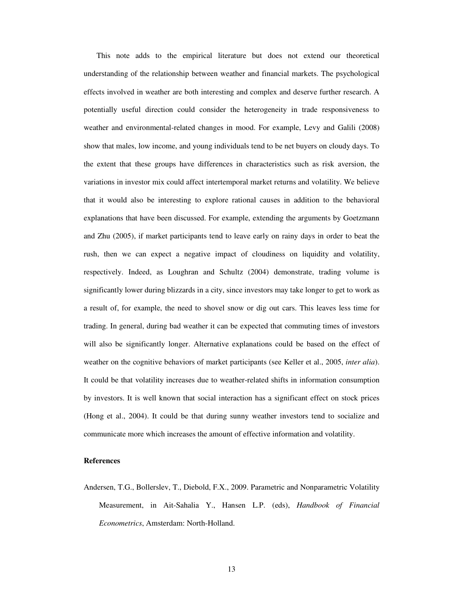This note adds to the empirical literature but does not extend our theoretical understanding of the relationship between weather and financial markets. The psychological effects involved in weather are both interesting and complex and deserve further research. A potentially useful direction could consider the heterogeneity in trade responsiveness to weather and environmental-related changes in mood. For example, Levy and Galili (2008) show that males, low income, and young individuals tend to be net buyers on cloudy days. To the extent that these groups have differences in characteristics such as risk aversion, the variations in investor mix could affect intertemporal market returns and volatility. We believe that it would also be interesting to explore rational causes in addition to the behavioral explanations that have been discussed. For example, extending the arguments by Goetzmann and Zhu (2005), if market participants tend to leave early on rainy days in order to beat the rush, then we can expect a negative impact of cloudiness on liquidity and volatility, respectively. Indeed, as Loughran and Schultz (2004) demonstrate, trading volume is significantly lower during blizzards in a city, since investors may take longer to get to work as a result of, for example, the need to shovel snow or dig out cars. This leaves less time for trading. In general, during bad weather it can be expected that commuting times of investors will also be significantly longer. Alternative explanations could be based on the effect of weather on the cognitive behaviors of market participants (see Keller et al., 2005, *inter alia*). It could be that volatility increases due to weather-related shifts in information consumption by investors. It is well known that social interaction has a significant effect on stock prices (Hong et al., 2004). It could be that during sunny weather investors tend to socialize and communicate more which increases the amount of effective information and volatility.

### **References**

Andersen, T.G., Bollerslev, T., Diebold, F.X., 2009. Parametric and Nonparametric Volatility Measurement, in Ait-Sahalia Y., Hansen L.P. (eds), *Handbook of Financial Econometrics*, Amsterdam: North-Holland.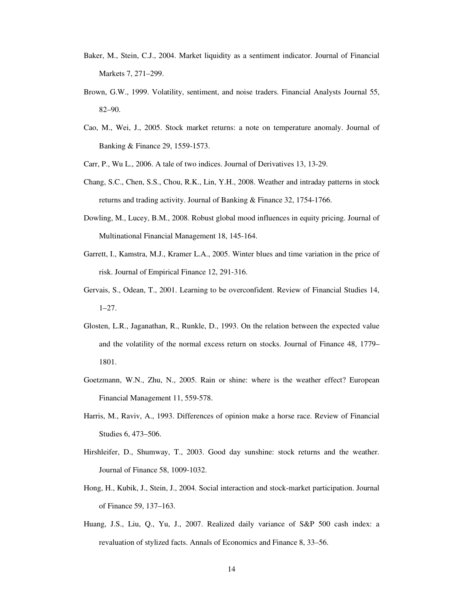- Baker, M., Stein, C.J., 2004. Market liquidity as a sentiment indicator. Journal of Financial Markets 7, 271–299.
- Brown, G.W., 1999. Volatility, sentiment, and noise traders. Financial Analysts Journal 55, 82–90.
- Cao, M., Wei, J., 2005. Stock market returns: a note on temperature anomaly. Journal of Banking & Finance 29, 1559-1573.
- Carr, P., Wu L., 2006. A tale of two indices. Journal of Derivatives 13, 13-29.
- Chang, S.C., Chen, S.S., Chou, R.K., Lin, Y.H., 2008. Weather and intraday patterns in stock returns and trading activity. Journal of Banking & Finance 32, 1754-1766.
- Dowling, M., Lucey, B.M., 2008. Robust global mood influences in equity pricing. Journal of Multinational Financial Management 18, 145-164.
- Garrett, I., Kamstra, M.J., Kramer L.A., 2005. Winter blues and time variation in the price of risk. Journal of Empirical Finance 12, 291-316.
- Gervais, S., Odean, T., 2001. Learning to be overconfident. Review of Financial Studies 14, 1–27.
- Glosten, L.R., Jaganathan, R., Runkle, D., 1993. On the relation between the expected value and the volatility of the normal excess return on stocks. Journal of Finance 48, 1779– 1801.
- Goetzmann, W.N., Zhu, N., 2005. Rain or shine: where is the weather effect? European Financial Management 11, 559-578.
- Harris, M., Raviv, A., 1993. Differences of opinion make a horse race. Review of Financial Studies 6, 473–506.
- Hirshleifer, D., Shumway, T., 2003. Good day sunshine: stock returns and the weather. Journal of Finance 58, 1009-1032.
- Hong, H., Kubik, J., Stein, J., 2004. Social interaction and stock-market participation. Journal of Finance 59, 137–163.
- Huang, J.S., Liu, Q., Yu, J., 2007. Realized daily variance of S&P 500 cash index: a revaluation of stylized facts. Annals of Economics and Finance 8, 33–56.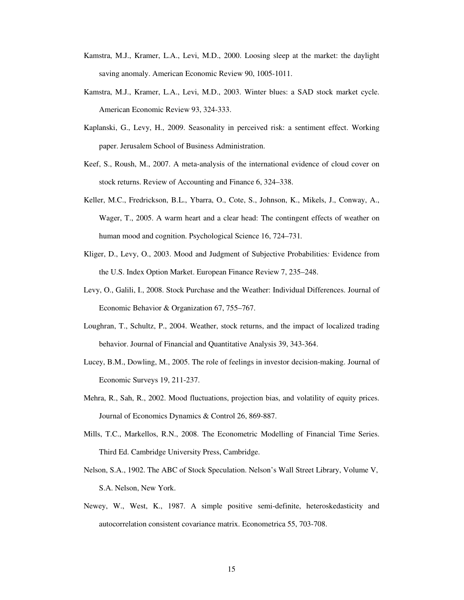- Kamstra, M.J., Kramer, L.A., Levi, M.D., 2000. Loosing sleep at the market: the daylight saving anomaly. American Economic Review 90, 1005-1011.
- Kamstra, M.J., Kramer, L.A., Levi, M.D., 2003. Winter blues: a SAD stock market cycle. American Economic Review 93, 324-333.
- Kaplanski, G., Levy, H., 2009. Seasonality in perceived risk: a sentiment effect. Working paper. Jerusalem School of Business Administration.
- Keef, S., Roush, M., 2007. A meta-analysis of the international evidence of cloud cover on stock returns. Review of Accounting and Finance 6, 324–338.
- Keller, M.C., Fredrickson, B.L., Ybarra, O., Cote, S., Johnson, K., Mikels, J., Conway, A., Wager, T., 2005. A warm heart and a clear head: The contingent effects of weather on human mood and cognition. Psychological Science 16, 724–731*.*
- Kliger, D., Levy, O., 2003. Mood and Judgment of Subjective Probabilities*:* Evidence from the U.S. Index Option Market. European Finance Review 7, 235–248.
- Levy, O., Galili, I., 2008. Stock Purchase and the Weather: Individual Differences. Journal of Economic Behavior & Organization 67, 755–767.
- Loughran, T., Schultz, P., 2004. Weather, stock returns, and the impact of localized trading behavior. Journal of Financial and Quantitative Analysis 39, 343-364.
- Lucey, B.M., Dowling, M., 2005. The role of feelings in investor decision-making. Journal of Economic Surveys 19, 211-237.
- Mehra, R., Sah, R., 2002. Mood fluctuations, projection bias, and volatility of equity prices. Journal of Economics Dynamics & Control 26, 869-887.
- Mills, T.C., Markellos, R.N., 2008. The Econometric Modelling of Financial Time Series. Third Ed. Cambridge University Press, Cambridge.
- Nelson, S.A., 1902. The ABC of Stock Speculation. Nelson's Wall Street Library, Volume V, S.A. Nelson, New York.
- Newey, W., West, K., 1987. A simple positive semi-definite, heteroskedasticity and autocorrelation consistent covariance matrix. Econometrica 55, 703-708.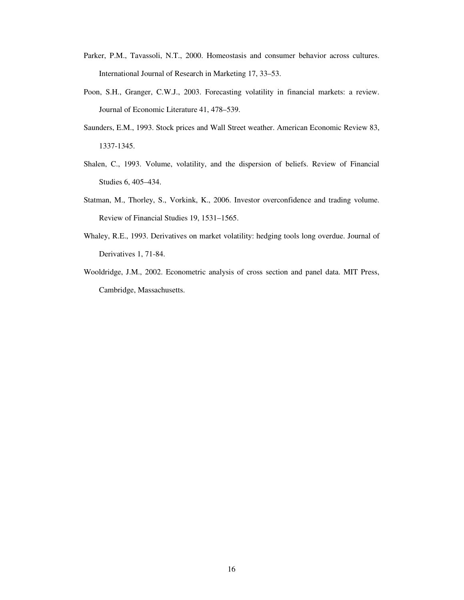- Parker, P.M., Tavassoli, N.T., 2000. Homeostasis and consumer behavior across cultures. International Journal of Research in Marketing 17, 33–53.
- Poon, S.H., Granger, C.W.J., 2003. Forecasting volatility in financial markets: a review. Journal of Economic Literature 41, 478–539.
- Saunders, E.M., 1993. Stock prices and Wall Street weather. American Economic Review 83, 1337-1345.
- Shalen, C., 1993. Volume, volatility, and the dispersion of beliefs. Review of Financial Studies 6, 405–434.
- Statman, M., Thorley, S., Vorkink, K., 2006. Investor overconfidence and trading volume. Review of Financial Studies 19, 1531–1565.
- Whaley, R.E., 1993. Derivatives on market volatility: hedging tools long overdue. Journal of Derivatives 1, 71-84.
- Wooldridge, J.M., 2002. Econometric analysis of cross section and panel data. MIT Press, Cambridge, Massachusetts.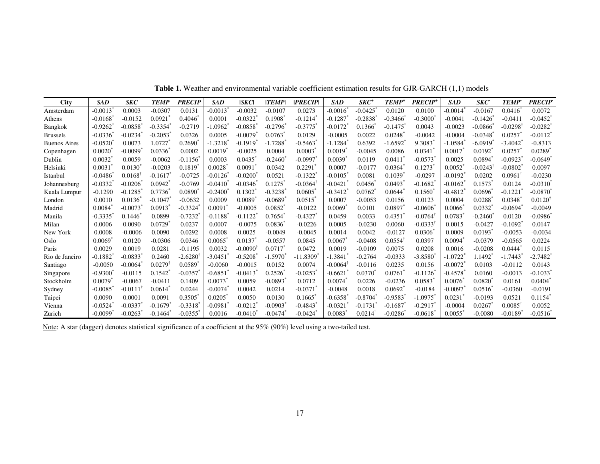| City                | <b>SAD</b> | <b>SKC</b> | <b>TEMP</b>           | <b>PRECIP</b> | <b>SAD</b> | <b>ISKC</b> | <b>TEMP</b> | <b>PRECIP</b> | <b>SAD</b> | $SKC^+$      | TEMP <sup>+</sup> | <b>PRECIP<sup>+</sup></b> | <b>SAD</b> | <b>SKC</b> | <b>TEMP</b> | <b>PRECIP</b>          |
|---------------------|------------|------------|-----------------------|---------------|------------|-------------|-------------|---------------|------------|--------------|-------------------|---------------------------|------------|------------|-------------|------------------------|
| Amsterdam           | $-0.0013$  | 0.0003     | $-0.0307$             | 0.0131        | $-0.0013$  | $-0.0032$   | $-0.0107$   | 0.0273        | $-0.0016$  | $-0.0425$    | 0.0120            | 0.0100                    | $-0.0014$  | $-0.0167$  | 0.0416      | 0.0072                 |
| Athens              | $-0.0168$  | $-0.0152$  | 0.0921                | 0.4046        | 0.0001     | $-0.0322$   | 0.1908      | $-0.1214$     | $-0.1287$  | $-0.2838$    | $-0.3466$         | $-0.3000$                 | $-0.004$   | $-0.1426$  | $-0.0411$   | $-0.0452$              |
| <b>Bangkok</b>      | $-0.9262$  | $-0.0858$  | $-0.3354$             | $-0.2719$     | $-1.0962$  | $-0.0858$   | $-0.2796$   | $-0.3775$     | $-0.0172$  | 0.1366       | $-0.1475$         | 0.0043                    | $-0.0023$  | $-0.0866$  | $-0.0298$   | $-0.0282$              |
| <b>Brussels</b>     | $-0.0336$  | $-0.0234$  | $-0.2053$             | 0.0326        | 0.0005     | $-0.0079$   | 0.0763      | 0.0129        | $-0.0005$  | 0.0022       | 0.0248            | $-0.0042$                 | $-0.0004$  | $-0.0348$  | 0.0257      | $-0.0112$ <sup>*</sup> |
| <b>Buenos Aires</b> | $-0.0520$  | 0.0073     | 1.0727                | 0.2690        | $-1.3218$  | $-0.1919$   | $-1.7288$   | $-0.5463$     | $-1.1284$  | 0.6392       | -1.6592           | 9.3083                    | $-1.0584$  | $-6.0919$  | $-3.4042$   | $-0.8313$              |
| Copenhagen          | 0.0020     | $-0.0099$  | 0.0336                | 0.0002        | 0.0019     | $-0.0025$   | 0.0004      | 0.0003        | 0.0019     | $-0.0045$    | 0.0086            | 0.0341                    | 0.0017     | 0.0192     | 0.0257      | $0.0289$ <sup>*</sup>  |
| Dublin              | 0.0032     | 0.0059     | $-0.0062$             | $-0.1156$     | 0.0003     | 0.0435      | $-0.2460$   | $-0.0997$     | 0.0039     | 0.0119       | 0.0411            | $-0.0573$                 | 0.0025     | 0.0894     | $-0.0923$   | $-0.0649$              |
| Helsinki            | 0.0031     | 0.0130     | $-0.0203$             | 0.1819        | 0.0028     | 0.0091      | 0.0342      | 0.2291        | 0.0007     | $-0.0177$    | 0.0364            | 0.1273                    | 0.0052     | $-0.0243$  | $-0.0802$   | 0.0097                 |
| Istanbul            | $-0.0486$  | 0.0168     | $-0.1617$             | $-0.0725$     | $-0.0126$  | $-0.0200$   | 0.0521      | $-0.1322$     | $-0.0105$  | 0.0081       | 0.1039            | $-0.0297$                 | $-0.0192$  | 0.0202     | 0.0961      | $-0.0230$              |
| Johannesburg        | $-0.0332$  | $-0.0206$  | 0.0942                | $-0.0769$     | $-0.0410$  | $-0.0346$   | 0.1275      | $-0.0364$     | $-0.0421$  | 0.0456       | 0.0493            | $-0.1682$                 | -0.0162    | 0.1573     | 0.0124      | $-0.0310$              |
| Kuala Lumpur        | $-0.1290$  | $-0.1285$  | 0.7736                | 0.0890        | $-0.2400$  | 0.1302      | $-0.3238$   | 0.0605        | $-0.3412$  | 0.0762       | 0.0644            | 0.1560                    | $-0.4812$  | 0.0696     | $-0.1221$   | $-0.0870$              |
| London              | 0.0010     | 0.0136     | $-0.1047$             | $-0.0632$     | 0.0009     | 0.0089      | $-0.0689$   | 0.0515        | 0.0007     | $-0.0053$    | 0.0156            | 0.0123                    | 0.0004     | 0.0288     | 0.0348      | $0.0120^{\dagger}$     |
| Madrid              | 0.0084     | $-0.0073$  | 0.0913                | $-0.3324$     | 0.0091     | $-0.0005$   | 0.0852      | $-0.0122$     | 0.0069     | 0.0101       | 0.0897            | $-0.0606$                 | 0.0066     | 0.0332     | $-0.0694$   | $-0.0049$              |
| Manila              | $-0.3335$  | 0.1446     | 0.0899                | $-0.7232$     | $-0.1188$  | $-0.1122$   | 0.7654      | $-0.4327$     | 0.0459     | 0.0033       | 0.4351            | $-0.0764$                 | 0.0783     | $-0.2460$  | 0.0120      | $-0.0986$ <sup>*</sup> |
| Milan               | 0.0006     | 0.0090     | 0.0729                | 0.0237        | 0.0007     | $-0.0075$   | 0.0836      | $-0.0226$     | 0.0005     | $-0.0230$    | 0.0060            | $-0.0333$                 | 0.0015     | $-0.0427$  | $-0.1092$   | 0.0147                 |
| New York            | 0.0008     | $-0.0006$  | 0.0090                | 0.0292        | 0.0008     | 0.0025      | $-0.0049$   | $-0.0045$     | 0.0014     | 0.0042       | $-0.0127$         | 0.0306                    | 0.0009     | 0.0193     | $-0.0053$   | $-0.0034$              |
| Oslo                | 0.0069     | 0.0120     | $-0.0306$             | 0.0346        | 0.0065     | 0.0137      | $-0.0557$   | 0.0845        | 0.0067     | $-0.0408$    | 0.0554            | 0.0397                    | 0.0094     | $-0.0379$  | $-0.0565$   | 0.0224                 |
| Paris               | 0.0029     | 0.0019     | 0.0281                | $-0.1195$     | 0.0032     | $-0.0090$   | 0.0717      | 0.0472        | 0.0019     | $-0.0109$    | 0.0075            | 0.0208                    | 0.0016     | $-0.0208$  | 0.0444      | 0.0115                 |
| Rio de Janeiro      | $-0.1882$  | $-0.0833$  | 0.2460                | $-2.6280$     | $-3.0451$  | $-0.5208$   | $-1.5970$   | $-11.8309$    | $-1.3841$  | $-0.2764$    | $-0.0333$         | $-3.8580$                 | $-1.0722$  | 1.1492     | $-1.7443$   | $-2.7482$              |
| Santiago            | $-0.0050$  | $-0.0064$  | $0.0279$ <sup>†</sup> | 0.0589        | $-0.0060$  | $-0.0015$   | 0.0152      | 0.0074        | $-0.0064$  | $-0.0116$    | 0.0235            | 0.0156                    | $-0.0072$  | 0.0103     | $-0.0112$   | 0.0143                 |
| Singapore           | $-0.9300$  | $-0.0115$  | 0.1542                | $-0.0357$     | $-0.6851$  | $-0.0413$   | 0.2526      | $-0.0253$     | $-0.6621$  | $0.0370^{3}$ | 0.0761            | $-0.1126$                 | $-0.4578$  | 0.0160     | $-0.0013$   | $-0.1033$              |
| Stockholm           | 0.0079     | $-0.0067$  | $-0.0411$             | 0.1409        | 0.0073     | 0.0059      | $-0.0893$   | 0.0712        | 0.0074     | 0.0226       | $-0.0236$         | 0.0583                    | 0.0076     | 0.0820     | 0.0161      | 0.0404                 |
| Sydney              | $-0.0085$  | $-0.0111$  | 0.0614                | 0.0244        | $-0.0074$  | 0.0042      | 0.0214      | $-0.0371$     | $-0.0048$  | 0.0018       | 0.0692            | $-0.0184$                 | $-0.0097$  | 0.0516     | $-0.0360$   | $-0.0191$              |
| Taipei              | 0.0090     | 0.0001     | 0.0091                | 0.3505        | 0.0205     | 0.0050      | 0.0130      | 0.1665        | $-0.6358$  | $-0.8704$    | $-0.9583$         | $-1.0975$                 | 0.0231     | $-0.0193$  | 0.0521      | 0.1154                 |
| Vienna              | $-0.0524$  | $-0.0337$  | $-0.1679$             | $-0.3318$     | $-0.0981$  | $-0.0212$   | $-0.0903$   | $-0.4843$     | $-0.0321$  | $-0.1731$    | $-0.1687$         | $-0.2917$                 | $-0.0004$  | 0.0267     | 0.0085      | 0.0052                 |
| Zurich              | $-0.0099$  | $-0.0263$  | $-0.1464$             | $-0.0355$     | 0.0016     | $-0.0410$   | $-0.0474$   | $-0.0424$     | 0.0083     | 0.0214       | $-0.0286$         | $-0.0618$                 | 0.0055     | $-0.0080$  | $-0.0189$   | $-0.0516$ <sup>*</sup> |

**Table 1.** Weather and environmental variable coefficient estimation results for GJR-GARCH (1,1) models

Note: A star (dagger) denotes statistical significance of a coefficient at the 95% (90%) level using a two-tailed test.